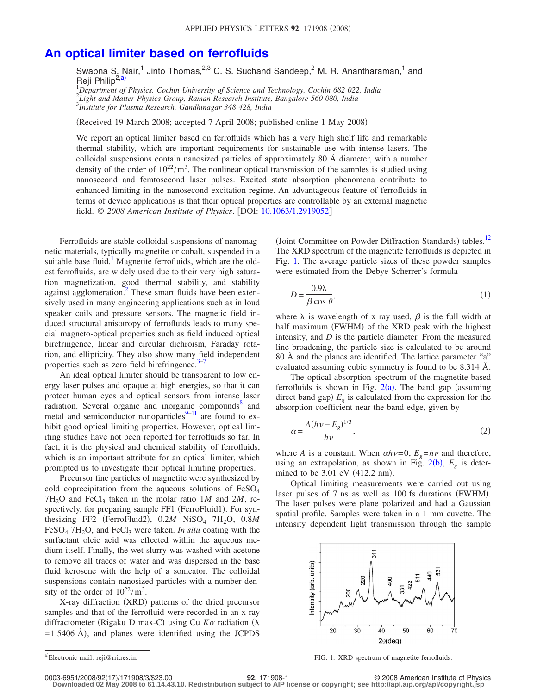## **[An optical limiter based on ferrofluids](http://dx.doi.org/10.1063/1.2919052)**

Swapna S. Nair,<sup>1</sup> Jinto Thomas,<sup>2,3</sup> C. S. Suchand Sandeep,<sup>2</sup> M. R. Anantharaman,<sup>1</sup> and Reji Philip<sup>2[,a](#page-0-0))</sup>

1 *Department of Physics, Cochin University of Science and Technology, Cochin 682 022, India* 2 *Light and Matter Physics Group, Raman Research Institute, Bangalore 560 080, India* 3 *Institute for Plasma Research, Gandhinagar 348 428, India*

Received 19 March 2008; accepted 7 April 2008; published online 1 May 2008-

We report an optical limiter based on ferrofluids which has a very high shelf life and remarkable thermal stability, which are important requirements for sustainable use with intense lasers. The colloidal suspensions contain nanosized particles of approximately 80 Å diameter, with a number density of the order of  $10^{22}/\text{m}^3$ . The nonlinear optical transmission of the samples is studied using nanosecond and femtosecond laser pulses. Excited state absorption phenomena contribute to enhanced limiting in the nanosecond excitation regime. An advantageous feature of ferrofluids in terms of device applications is that their optical properties are controllable by an external magnetic field. © *2008 American Institute of Physics*. DOI: [10.1063/1.2919052](http://dx.doi.org/10.1063/1.2919052)

Ferrofluids are stable colloidal suspensions of nanomagnetic materials, typically magnetite or cobalt, suspended in a suitable base fluid.<sup>1</sup> Magnetite ferrofluids, which are the oldest ferrofluids, are widely used due to their very high saturation magnetization, good thermal stability, and stability against agglomeration.<sup>2</sup> These smart fluids have been extensively used in many engineering applications such as in loud speaker coils and pressure sensors. The magnetic field induced structural anisotropy of ferrofluids leads to many special magneto-optical properties such as field induced optical birefringence, linear and circular dichroism, Faraday rotation, and ellipticity. They also show many field independent properties such as zero field birefringence. $3-7$ 

An ideal optical limiter should be transparent to low energy laser pulses and opaque at high energies, so that it can protect human eyes and optical sensors from intense laser radiation. Several organic and inorganic compounds<sup>8</sup> and metal and semiconductor nanoparticles<sup>9[–11](#page-2-6)</sup> are found to exhibit good optical limiting properties. However, optical limiting studies have not been reported for ferrofluids so far. In fact, it is the physical and chemical stability of ferrofluids, which is an important attribute for an optical limiter, which prompted us to investigate their optical limiting properties.

Precursor fine particles of magnetite were synthesized by cold coprecipitation from the aqueous solutions of  $FeSO<sub>4</sub>$  $7H<sub>2</sub>O$  and FeCl<sub>3</sub> taken in the molar ratio 1*M* and 2*M*, respectively, for preparing sample FF1 (FerroFluid1). For synthesizing FF2 (FerroFluid2),  $0.2M$  NiSO<sub>4</sub> 7H<sub>2</sub>O,  $0.8M$ FeSO<sub>4</sub> 7H<sub>2</sub>O, and FeCl<sub>3</sub> were taken. *In situ* coating with the surfactant oleic acid was effected within the aqueous medium itself. Finally, the wet slurry was washed with acetone to remove all traces of water and was dispersed in the base fluid kerosene with the help of a sonicator. The colloidal suspensions contain nanosized particles with a number density of the order of  $10^{22}/m^3$ .

X-ray diffraction (XRD) patterns of the dried precursor samples and that of the ferrofluid were recorded in an x-ray diffractometer (Rigaku D max-C) using Cu  $K\alpha$  radiation ( $\lambda$  $= 1.5406$  Å), and planes were identified using the JCPDS

(Joint Committee on Powder Diffraction Standards) tables.<sup>12</sup> The XRD spectrum of the magnetite ferrofluids is depicted in Fig. [1.](#page-0-1) The average particle sizes of these powder samples were estimated from the Debye Scherrer's formula

$$
D = \frac{0.9\lambda}{\beta \cos \theta},\tag{1}
$$

where  $\lambda$  is wavelength of x ray used,  $\beta$  is the full width at half maximum (FWHM) of the XRD peak with the highest intensity, and *D* is the particle diameter. From the measured line broadening, the particle size is calculated to be around 80 Å and the planes are identified. The lattice parameter "a" evaluated assuming cubic symmetry is found to be 8.314 Å.

The optical absorption spectrum of the magnetite-based ferrofluids is shown in Fig.  $2(a)$  $2(a)$ . The band gap (assuming direct band gap)  $E<sub>g</sub>$  is calculated from the expression for the absorption coefficient near the band edge, given by

$$
\alpha = \frac{A(h\nu - E_g)^{1/3}}{h\nu},\tag{2}
$$

where *A* is a constant. When  $\alpha h \nu = 0$ ,  $E_g = h \nu$  and therefore, using an extrapolation, as shown in Fig.  $2(b)$  $2(b)$ ,  $E<sub>g</sub>$  is determined to be  $3.01$  eV (412.2 nm).

Optical limiting measurements were carried out using laser pulses of 7 ns as well as 100 fs durations (FWHM). The laser pulses were plane polarized and had a Gaussian spatial profile. Samples were taken in a 1 mm cuvette. The intensity dependent light transmission through the sample

<span id="page-0-1"></span>

FIG. 1. XRD spectrum of magnetite ferrofluids.

**Downloaded 02 May 2008 to 61.14.43.10. Redistribution subject to AIP license or copyright; see http://apl.aip.org/apl/copyright.jsp**

<span id="page-0-0"></span>a)

**<sup>92</sup>**, 171908-1 © 2008 American Institute of Physics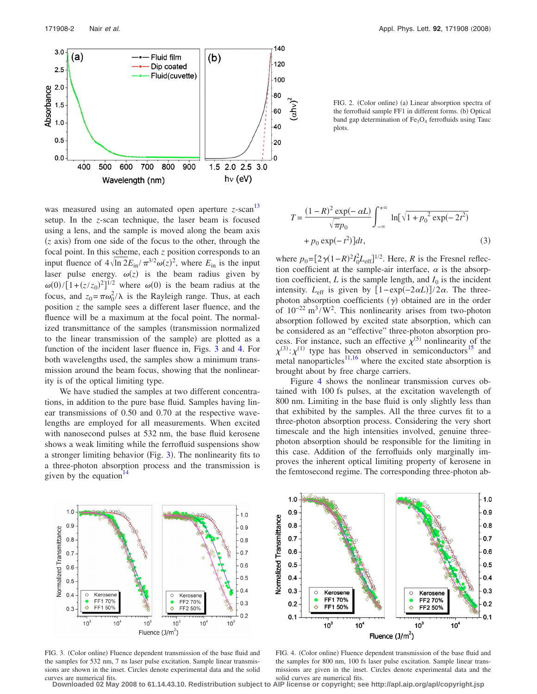<span id="page-1-0"></span>

was measured using an automated open aperture *z*-scan [13](#page-2-8) setup. In the *z*-scan technique, the laser beam is focused using a lens, and the sample is moved along the beam axis (*z* axis) from one side of the focus to the other, through the focal point. In this scheme, each *z* position corresponds to an input fluence of  $4\sqrt{\ln 2E_{\text{in}}}/\pi^{3/2}\omega(z)^2$ , where  $E_{\text{in}}$  is the input laser pulse energy.  $\omega(z)$  is the beam radius given by  $\omega(0)/[1+(z/z_0)^2]^{1/2}$  where  $\omega(0)$  is the beam radius at the focus, and  $z_0 = \pi \omega_0^2 / \lambda$  is the Rayleigh range. Thus, at each position *z* the sample sees a different laser fluence, and the fluence will be a maximum at the focal point. The normalized transmittance of the samples (transmission normalized to the linear transmission of the sample) are plotted as a function of the incident laser fluence in, Figs. [3](#page-1-1) and [4.](#page-1-2) For both wavelengths used, the samples show a minimum transmission around the beam focus, showing that the nonlinearity is of the optical limiting type.

We have studied the samples at two different concentrations, in addition to the pure base fluid. Samples having linear transmissions of 0.50 and 0.70 at the respective wavelengths are employed for all measurements. When excited with nanosecond pulses at 532 nm, the base fluid kerosene shows a weak limiting while the ferrofluid suspensions show a stronger limiting behavior (Fig. [3](#page-1-1)). The nonlinearity fits to a three-photon absorption process and the transmission is given by the equation<sup>1</sup>

FIG. 2. (Color online) (a) Linear absorption spectra of the ferrofluid sample FF1 in different forms. (b) Optical band gap determination of  $Fe<sub>3</sub>O<sub>4</sub>$  ferrofluids using Tauc plots.

$$
T = \frac{(1 - R)^2 \exp(-\alpha L)}{\sqrt{\pi p_0}} \int_{-\infty}^{+\infty} \ln[\sqrt{1 + p_0^2 \exp(-2t^2)} + p_0 \exp(-t^2)]dt,
$$
\n(3)

where  $p_0 = [2\gamma(1-R)^2 I_0^2 L_{\text{eff}}]^{1/2}$ . Here, *R* is the Fresnel reflection coefficient at the sample-air interface,  $\alpha$  is the absorption coefficient,  $L$  is the sample length, and  $I_0$  is the incident intensity.  $L_{\text{eff}}$  is given by  $[1 - \exp(-2\alpha L)]/2\alpha$ . The threephoton absorption coefficients  $(y)$  obtained are in the order of  $10^{-22}$  m<sup>3</sup>/W<sup>2</sup>. This nonlinearity arises from two-photon absorption followed by excited state absorption, which can be considered as an "effective" three-photon absorption process. For instance, such an effective  $\chi^{(5)}$  nonlinearity of the  $\chi^{(3)}$ :  $\chi^{(1)}$  type has been observed in semiconductors<sup>15</sup> and metal nanoparticles<sup>11[,16](#page-2-11)</sup> where the excited state absorption is brought about by free charge carriers.

<span id="page-1-2"></span>Figure [4](#page-1-2) shows the nonlinear transmission curves obtained with 100 fs pulses, at the excitation wavelength of 800 nm. Limiting in the base fluid is only slightly less than that exhibited by the samples. All the three curves fit to a three-photon absorption process. Considering the very short timescale and the high intensities involved, genuine threephoton absorption should be responsible for the limiting in this case. Addition of the ferrofluids only marginally improves the inherent optical limiting property of kerosene in the femtosecond regime. The corresponding three-photon ab-

<span id="page-1-1"></span>

FIG. 3. (Color online) Fluence dependent transmission of the base fluid and the samples for 532 nm, 7 ns laser pulse excitation. Sample linear transmissions are shown in the inset. Circles denote experimental data and the solid curves are numerical fits.

FIG. 4. (Color online) Fluence dependent transmission of the base fluid and the samples for 800 nm, 100 fs laser pulse excitation. Sample linear transmissions are given in the inset. Circles denote experimental data and the solid curves are numerical fits.

**Downloaded 02 May 2008 to 61.14.43.10. Redistribution subject to AIP license or copyright; see http://apl.aip.org/apl/copyright.jsp**